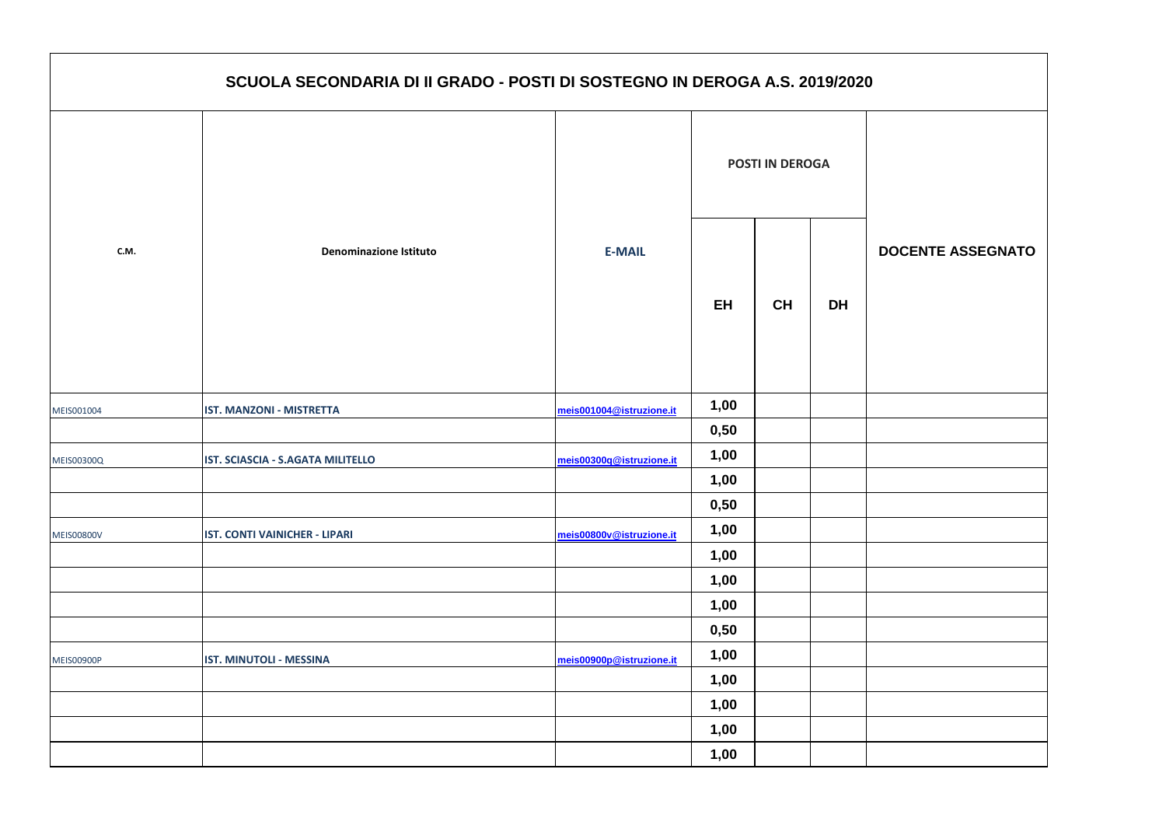|                   | SCUOLA SECONDARIA DI II GRADO - POSTI DI SOSTEGNO IN DEROGA A.S. 2019/2020 |                          |           |           |           |                        |  |  |  |
|-------------------|----------------------------------------------------------------------------|--------------------------|-----------|-----------|-----------|------------------------|--|--|--|
| C.M.              |                                                                            |                          |           |           |           | <b>POSTI IN DEROGA</b> |  |  |  |
|                   | <b>Denominazione Istituto</b>                                              | <b>E-MAIL</b>            | <b>EH</b> | <b>CH</b> | <b>DH</b> |                        |  |  |  |
| MEIS001004        | <b>IST. MANZONI - MISTRETTA</b>                                            | meis001004@istruzione.it | 1,00      |           |           |                        |  |  |  |
|                   |                                                                            |                          | 0,50      |           |           |                        |  |  |  |
| <b>MEIS00300Q</b> | IST. SCIASCIA - S.AGATA MILITELLO                                          | meis00300q@istruzione.it | 1,00      |           |           |                        |  |  |  |
|                   |                                                                            |                          | 1,00      |           |           |                        |  |  |  |
|                   |                                                                            |                          | 0,50      |           |           |                        |  |  |  |
| <b>MEIS00800V</b> | <b>IST. CONTI VAINICHER - LIPARI</b>                                       | meis00800v@istruzione.it | 1,00      |           |           |                        |  |  |  |
|                   |                                                                            |                          | 1,00      |           |           |                        |  |  |  |
|                   |                                                                            |                          | 1,00      |           |           |                        |  |  |  |
|                   |                                                                            |                          | 1,00      |           |           |                        |  |  |  |
|                   |                                                                            |                          | 0,50      |           |           |                        |  |  |  |
| <b>MEIS00900P</b> | IST. MINUTOLI - MESSINA                                                    | meis00900p@istruzione.it | 1,00      |           |           |                        |  |  |  |
|                   |                                                                            |                          | 1,00      |           |           |                        |  |  |  |
|                   |                                                                            |                          | 1,00      |           |           |                        |  |  |  |
|                   |                                                                            |                          | 1,00      |           |           |                        |  |  |  |
|                   |                                                                            |                          | 1,00      |           |           |                        |  |  |  |

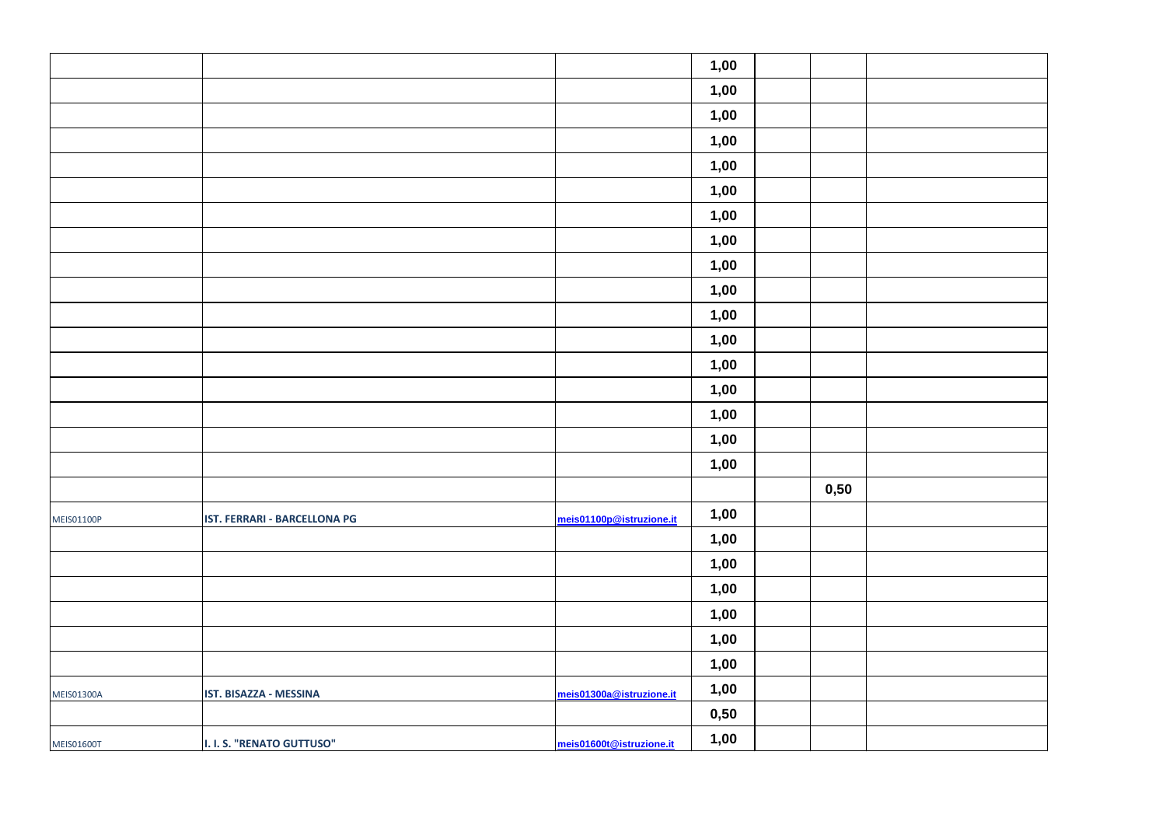|                   |                              |                          | 1,00 |      |  |
|-------------------|------------------------------|--------------------------|------|------|--|
|                   |                              |                          | 1,00 |      |  |
|                   |                              |                          | 1,00 |      |  |
|                   |                              |                          | 1,00 |      |  |
|                   |                              |                          | 1,00 |      |  |
|                   |                              |                          | 1,00 |      |  |
|                   |                              |                          | 1,00 |      |  |
|                   |                              |                          | 1,00 |      |  |
|                   |                              |                          | 1,00 |      |  |
|                   |                              |                          | 1,00 |      |  |
|                   |                              |                          | 1,00 |      |  |
|                   |                              |                          | 1,00 |      |  |
|                   |                              |                          | 1,00 |      |  |
|                   |                              |                          | 1,00 |      |  |
|                   |                              |                          | 1,00 |      |  |
|                   |                              |                          | 1,00 |      |  |
|                   |                              |                          | 1,00 |      |  |
|                   |                              |                          |      | 0,50 |  |
| <b>MEIS01100P</b> | IST. FERRARI - BARCELLONA PG | meis01100p@istruzione.it | 1,00 |      |  |
|                   |                              |                          | 1,00 |      |  |
|                   |                              |                          | 1,00 |      |  |
|                   |                              |                          | 1,00 |      |  |
|                   |                              |                          | 1,00 |      |  |
|                   |                              |                          | 1,00 |      |  |
|                   |                              |                          | 1,00 |      |  |
| <b>MEIS01300A</b> | IST. BISAZZA - MESSINA       | meis01300a@istruzione.it | 1,00 |      |  |
|                   |                              |                          | 0,50 |      |  |
| <b>MEIS01600T</b> | I. I. S. "RENATO GUTTUSO"    | meis01600t@istruzione.it | 1,00 |      |  |
|                   |                              |                          |      |      |  |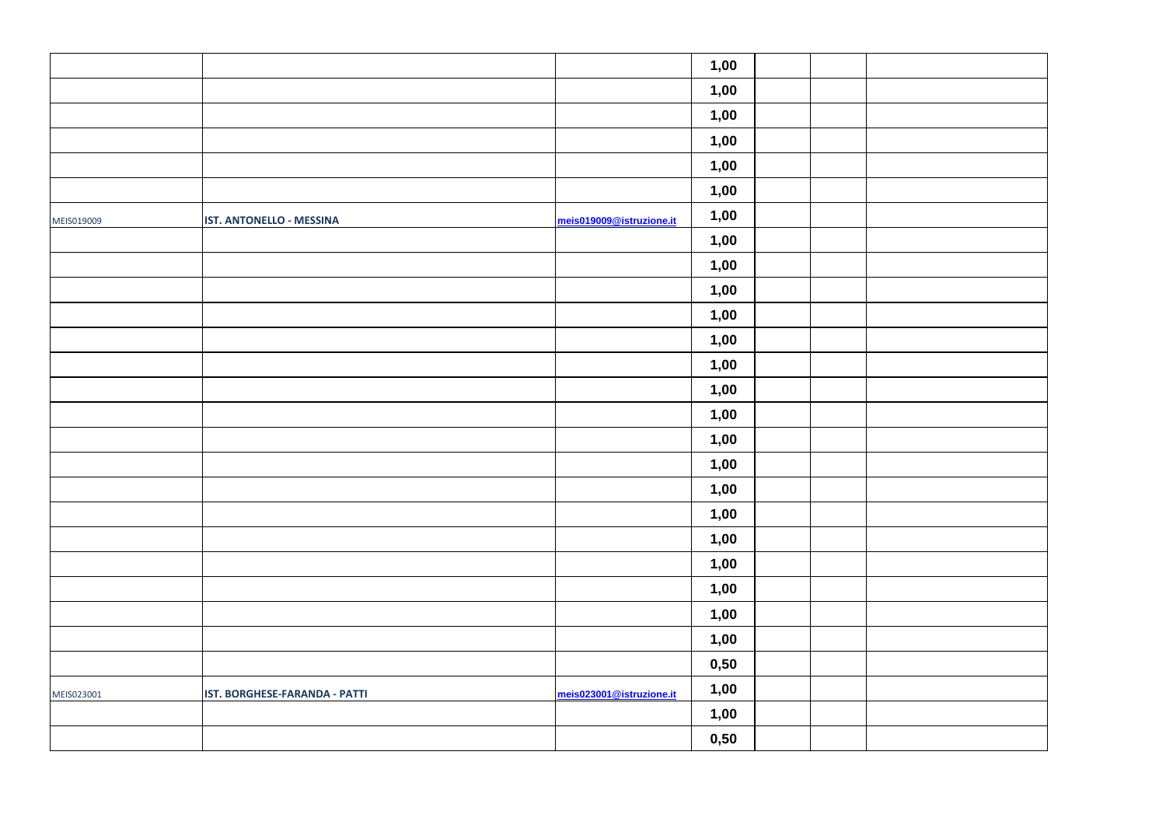|            |                               |                          | 1,00 |  |  |
|------------|-------------------------------|--------------------------|------|--|--|
|            |                               |                          | 1,00 |  |  |
|            |                               |                          | 1,00 |  |  |
|            |                               |                          | 1,00 |  |  |
|            |                               |                          | 1,00 |  |  |
|            |                               |                          | 1,00 |  |  |
| MEIS019009 | IST. ANTONELLO - MESSINA      | meis019009@istruzione.it | 1,00 |  |  |
|            |                               |                          | 1,00 |  |  |
|            |                               |                          | 1,00 |  |  |
|            |                               |                          | 1,00 |  |  |
|            |                               |                          | 1,00 |  |  |
|            |                               |                          | 1,00 |  |  |
|            |                               |                          | 1,00 |  |  |
|            |                               |                          | 1,00 |  |  |
|            |                               |                          | 1,00 |  |  |
|            |                               |                          | 1,00 |  |  |
|            |                               |                          | 1,00 |  |  |
|            |                               |                          | 1,00 |  |  |
|            |                               |                          | 1,00 |  |  |
|            |                               |                          | 1,00 |  |  |
|            |                               |                          | 1,00 |  |  |
|            |                               |                          | 1,00 |  |  |
|            |                               |                          | 1,00 |  |  |
|            |                               |                          | 1,00 |  |  |
|            |                               |                          | 0,50 |  |  |
| MEIS023001 | IST. BORGHESE-FARANDA - PATTI | meis023001@istruzione.it | 1,00 |  |  |
|            |                               |                          | 1,00 |  |  |
|            |                               |                          | 0,50 |  |  |
|            |                               |                          |      |  |  |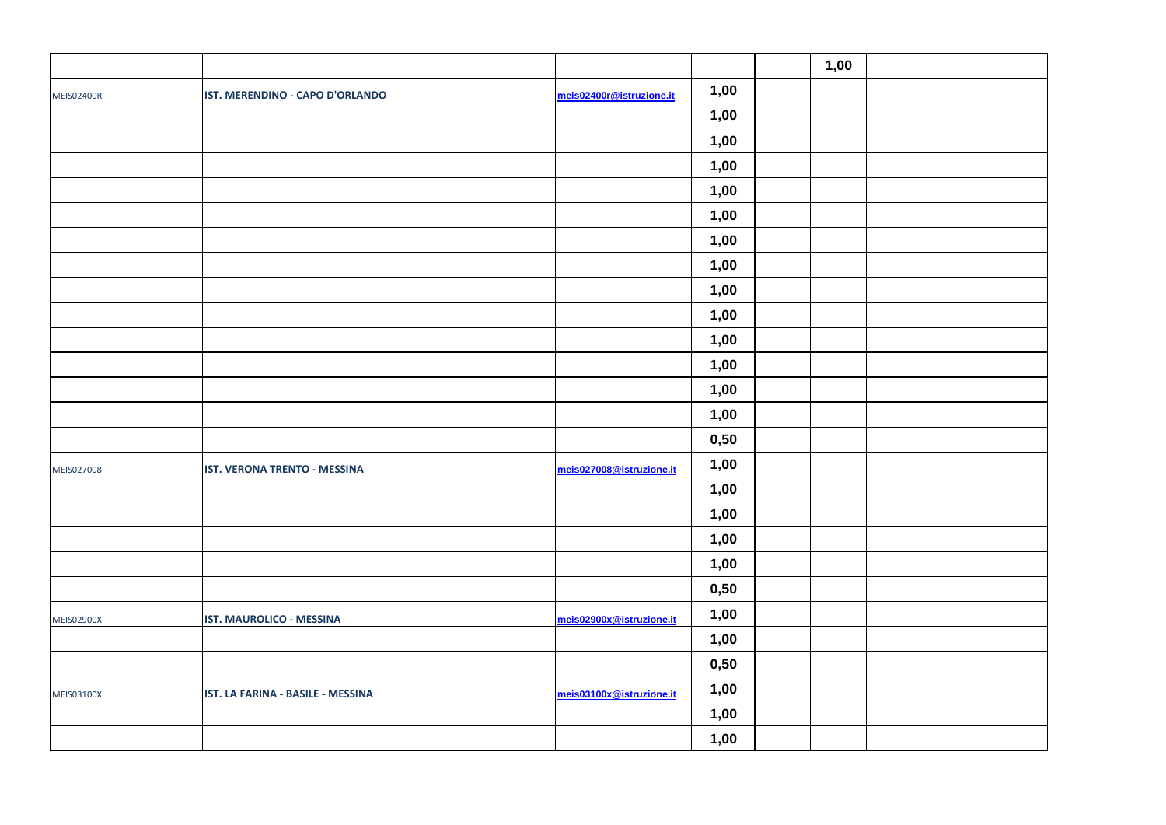|                   |                                   |                          |      | 1,00 |  |
|-------------------|-----------------------------------|--------------------------|------|------|--|
| <b>MEIS02400R</b> | IST. MERENDINO - CAPO D'ORLANDO   | meis02400r@istruzione.it | 1,00 |      |  |
|                   |                                   |                          | 1,00 |      |  |
|                   |                                   |                          | 1,00 |      |  |
|                   |                                   |                          | 1,00 |      |  |
|                   |                                   |                          | 1,00 |      |  |
|                   |                                   |                          | 1,00 |      |  |
|                   |                                   |                          | 1,00 |      |  |
|                   |                                   |                          | 1,00 |      |  |
|                   |                                   |                          | 1,00 |      |  |
|                   |                                   |                          | 1,00 |      |  |
|                   |                                   |                          | 1,00 |      |  |
|                   |                                   |                          | 1,00 |      |  |
|                   |                                   |                          | 1,00 |      |  |
|                   |                                   |                          | 1,00 |      |  |
|                   |                                   |                          | 0,50 |      |  |
| MEIS027008        | IST. VERONA TRENTO - MESSINA      | meis027008@istruzione.it | 1,00 |      |  |
|                   |                                   |                          | 1,00 |      |  |
|                   |                                   |                          | 1,00 |      |  |
|                   |                                   |                          | 1,00 |      |  |
|                   |                                   |                          | 1,00 |      |  |
|                   |                                   |                          | 0,50 |      |  |
| <b>MEIS02900X</b> | IST. MAUROLICO - MESSINA          | meis02900x@istruzione.it | 1,00 |      |  |
|                   |                                   |                          | 1,00 |      |  |
|                   |                                   |                          | 0,50 |      |  |
| <b>MEIS03100X</b> | IST. LA FARINA - BASILE - MESSINA | meis03100x@istruzione.it | 1,00 |      |  |
|                   |                                   |                          | 1,00 |      |  |
|                   |                                   |                          | 1,00 |      |  |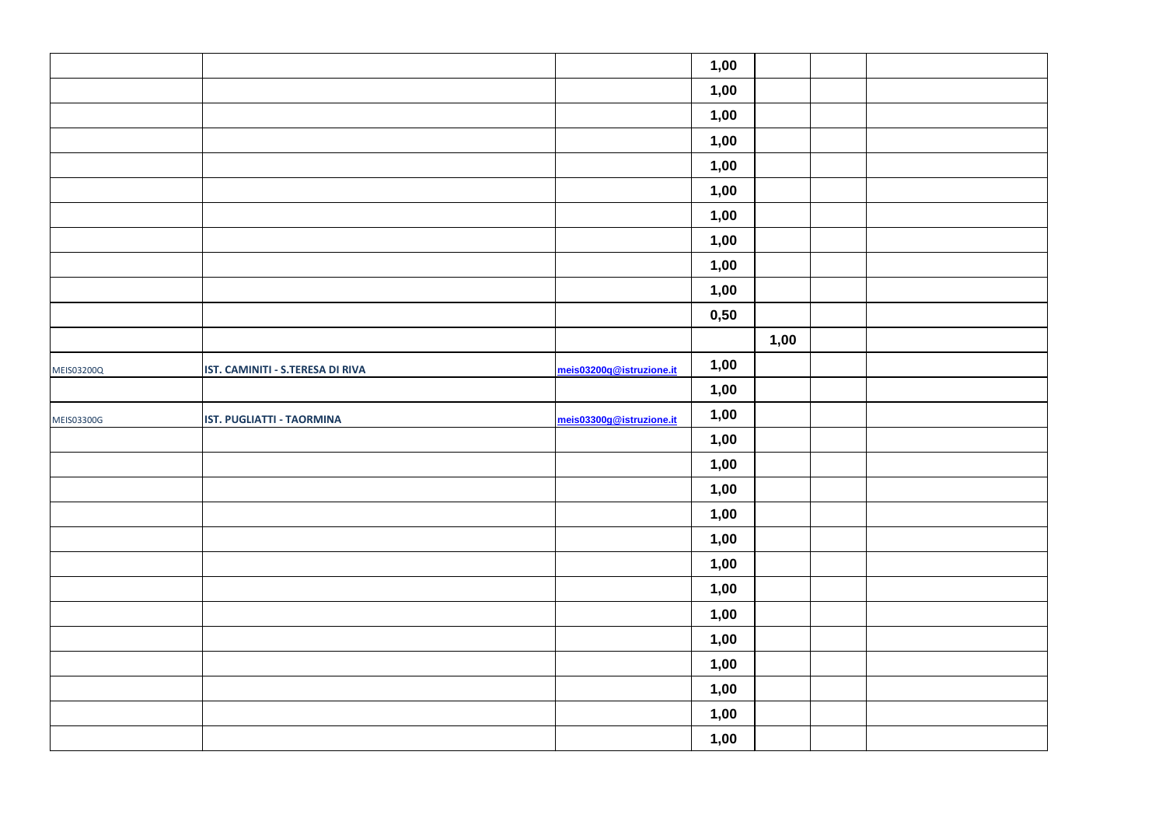|                   |                                  |                          | 1,00 |      |  |
|-------------------|----------------------------------|--------------------------|------|------|--|
|                   |                                  |                          | 1,00 |      |  |
|                   |                                  |                          | 1,00 |      |  |
|                   |                                  |                          | 1,00 |      |  |
|                   |                                  |                          | 1,00 |      |  |
|                   |                                  |                          | 1,00 |      |  |
|                   |                                  |                          | 1,00 |      |  |
|                   |                                  |                          | 1,00 |      |  |
|                   |                                  |                          | 1,00 |      |  |
|                   |                                  |                          | 1,00 |      |  |
|                   |                                  |                          | 0,50 |      |  |
|                   |                                  |                          |      | 1,00 |  |
| <b>MEIS03200Q</b> | IST. CAMINITI - S.TERESA DI RIVA | meis03200q@istruzione.it | 1,00 |      |  |
|                   |                                  |                          | 1,00 |      |  |
| MEIS03300G        | IST. PUGLIATTI - TAORMINA        | meis03300g@istruzione.it | 1,00 |      |  |
|                   |                                  |                          | 1,00 |      |  |
|                   |                                  |                          | 1,00 |      |  |
|                   |                                  |                          | 1,00 |      |  |
|                   |                                  |                          | 1,00 |      |  |
|                   |                                  |                          | 1,00 |      |  |
|                   |                                  |                          | 1,00 |      |  |
|                   |                                  |                          | 1,00 |      |  |
|                   |                                  |                          | 1,00 |      |  |
|                   |                                  |                          | 1,00 |      |  |
|                   |                                  |                          | 1,00 |      |  |
|                   |                                  |                          | 1,00 |      |  |
|                   |                                  |                          | 1,00 |      |  |
|                   |                                  |                          | 1,00 |      |  |
|                   |                                  |                          |      |      |  |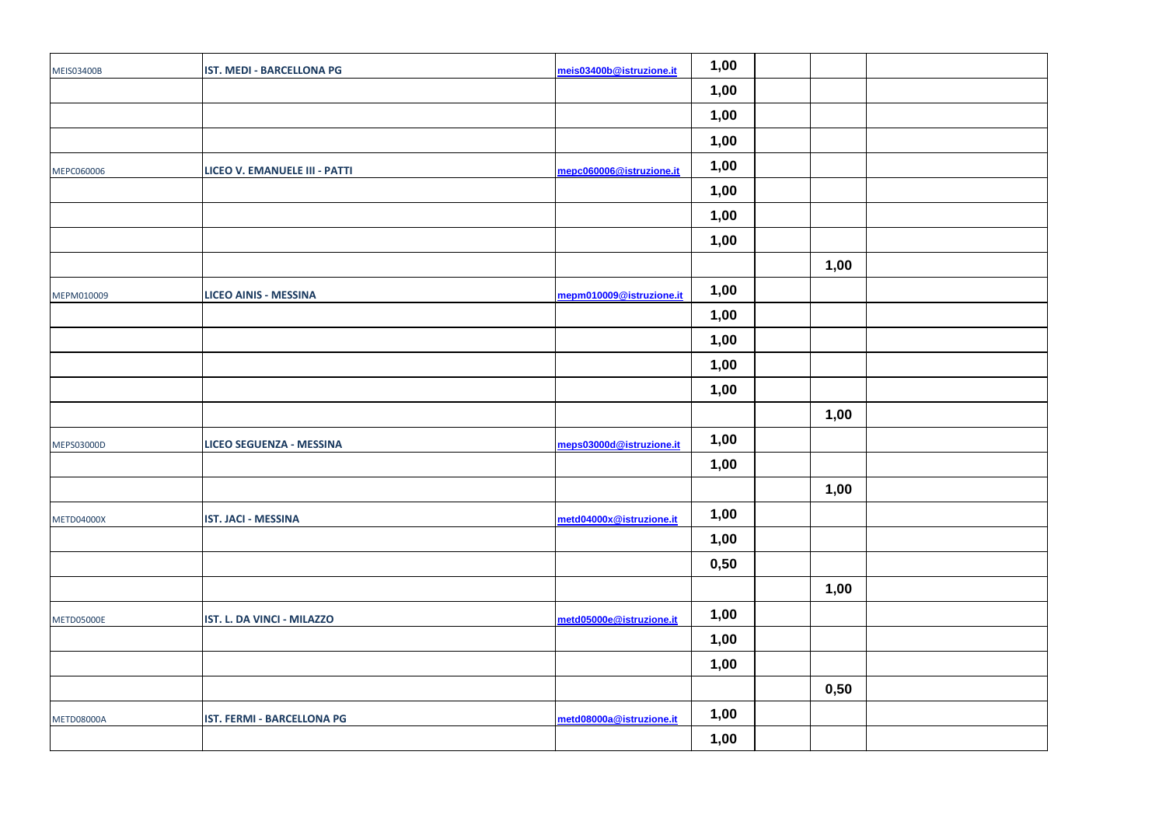| <b>MEIS03400B</b> | <b>IST. MEDI - BARCELLONA PG</b>     | meis03400b@istruzione.it | 1,00 |      |  |
|-------------------|--------------------------------------|--------------------------|------|------|--|
|                   |                                      |                          | 1,00 |      |  |
|                   |                                      |                          | 1,00 |      |  |
|                   |                                      |                          | 1,00 |      |  |
| MEPC060006        | <b>LICEO V. EMANUELE III - PATTI</b> | mepc060006@istruzione.it | 1,00 |      |  |
|                   |                                      |                          | 1,00 |      |  |
|                   |                                      |                          | 1,00 |      |  |
|                   |                                      |                          | 1,00 |      |  |
|                   |                                      |                          |      | 1,00 |  |
| MEPM010009        | <b>LICEO AINIS - MESSINA</b>         | mepm010009@istruzione.it | 1,00 |      |  |
|                   |                                      |                          | 1,00 |      |  |
|                   |                                      |                          | 1,00 |      |  |
|                   |                                      |                          | 1,00 |      |  |
|                   |                                      |                          | 1,00 |      |  |
|                   |                                      |                          |      | 1,00 |  |
| MEPS03000D        | <b>LICEO SEGUENZA - MESSINA</b>      | meps03000d@istruzione.it | 1,00 |      |  |
|                   |                                      |                          | 1,00 |      |  |
|                   |                                      |                          |      | 1,00 |  |
| <b>METD04000X</b> | <b>IST. JACI - MESSINA</b>           | metd04000x@istruzione.it | 1,00 |      |  |
|                   |                                      |                          | 1,00 |      |  |
|                   |                                      |                          | 0,50 |      |  |
|                   |                                      |                          |      | 1,00 |  |
| METD05000E        | IST. L. DA VINCI - MILAZZO           | metd05000e@istruzione.it | 1,00 |      |  |
|                   |                                      |                          | 1,00 |      |  |
|                   |                                      |                          | 1,00 |      |  |
|                   |                                      |                          |      | 0,50 |  |
| <b>METD08000A</b> | IST. FERMI - BARCELLONA PG           | metd08000a@istruzione.it | 1,00 |      |  |
|                   |                                      |                          | 1,00 |      |  |
|                   |                                      |                          |      |      |  |

| 1,00 |  |
|------|--|
|      |  |
|      |  |
|      |  |
|      |  |
|      |  |
| 1,00 |  |
|      |  |
|      |  |
| 1,00 |  |
|      |  |
|      |  |
|      |  |
| 1,00 |  |
|      |  |
|      |  |
|      |  |
| 0,50 |  |
|      |  |
|      |  |
|      |  |